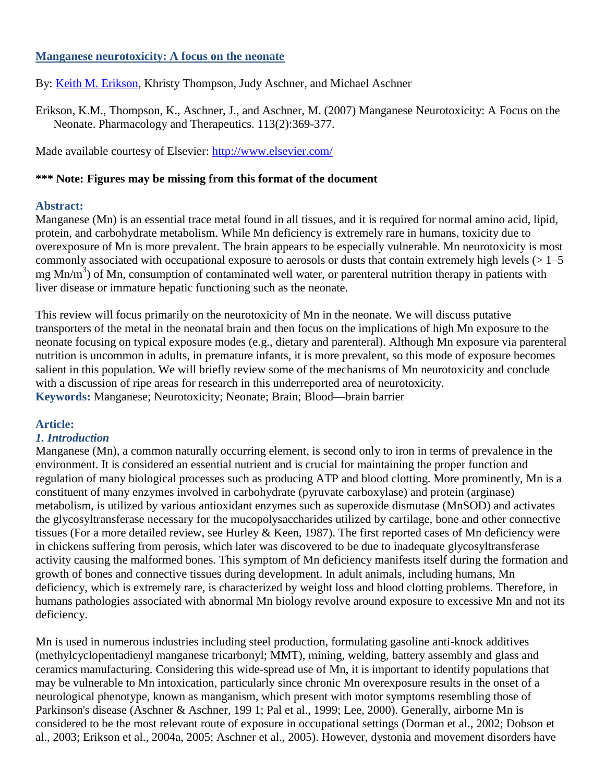### **Manganese neurotoxicity: A focus on the neonate**

By: [Keith M. Erikson,](http://libres.uncg.edu/ir/uncg/clist.aspx?id=1296) Khristy Thompson, Judy Aschner, and Michael Aschner

Erikson, K.M., Thompson, K., Aschner, J., and Aschner, M. (2007) Manganese Neurotoxicity: A Focus on the Neonate. Pharmacology and Therapeutics. 113(2):369-377.

Made available courtesy of Elsevier:<http://www.elsevier.com/>

## **\*\*\* Note: Figures may be missing from this format of the document**

## **Abstract:**

Manganese (Mn) is an essential trace metal found in all tissues, and it is required for normal amino acid, lipid, protein, and carbohydrate metabolism. While Mn deficiency is extremely rare in humans, toxicity due to overexposure of Mn is more prevalent. The brain appears to be especially vulnerable. Mn neurotoxicity is most commonly associated with occupational exposure to aerosols or dusts that contain extremely high levels  $(>1-5$ mg Mn/m<sup>3</sup>) of Mn, consumption of contaminated well water, or parenteral nutrition therapy in patients with liver disease or immature hepatic functioning such as the neonate.

This review will focus primarily on the neurotoxicity of Mn in the neonate. We will discuss putative transporters of the metal in the neonatal brain and then focus on the implications of high Mn exposure to the neonate focusing on typical exposure modes (e.g., dietary and parenteral). Although Mn exposure via parenteral nutrition is uncommon in adults, in premature infants, it is more prevalent, so this mode of exposure becomes salient in this population. We will briefly review some of the mechanisms of Mn neurotoxicity and conclude with a discussion of ripe areas for research in this underreported area of neurotoxicity. **Keywords:** Manganese; Neurotoxicity; Neonate; Brain; Blood—brain barrier

# **Article:**

### *1. Introduction*

Manganese (Mn), a common naturally occurring element, is second only to iron in terms of prevalence in the environment. It is considered an essential nutrient and is crucial for maintaining the proper function and regulation of many biological processes such as producing ATP and blood clotting. More prominently, Mn is a constituent of many enzymes involved in carbohydrate (pyruvate carboxylase) and protein (arginase) metabolism, is utilized by various antioxidant enzymes such as superoxide dismutase (MnSOD) and activates the glycosyltransferase necessary for the mucopolysaccharides utilized by cartilage, bone and other connective tissues (For a more detailed review, see Hurley & Keen, 1987). The first reported cases of Mn deficiency were in chickens suffering from perosis, which later was discovered to be due to inadequate glycosyltransferase activity causing the malformed bones. This symptom of Mn deficiency manifests itself during the formation and growth of bones and connective tissues during development. In adult animals, including humans, Mn deficiency, which is extremely rare, is characterized by weight loss and blood clotting problems. Therefore, in humans pathologies associated with abnormal Mn biology revolve around exposure to excessive Mn and not its deficiency.

Mn is used in numerous industries including steel production, formulating gasoline anti-knock additives (methylcyclopentadienyl manganese tricarbonyl; MMT), mining, welding, battery assembly and glass and ceramics manufacturing. Considering this wide-spread use of Mn, it is important to identify populations that may be vulnerable to Mn intoxication, particularly since chronic Mn overexposure results in the onset of a neurological phenotype, known as manganism, which present with motor symptoms resembling those of Parkinson's disease (Aschner & Aschner, 199 1; Pal et al., 1999; Lee, 2000). Generally, airborne Mn is considered to be the most relevant route of exposure in occupational settings (Dorman et al., 2002; Dobson et al., 2003; Erikson et al., 2004a, 2005; Aschner et al., 2005). However, dystonia and movement disorders have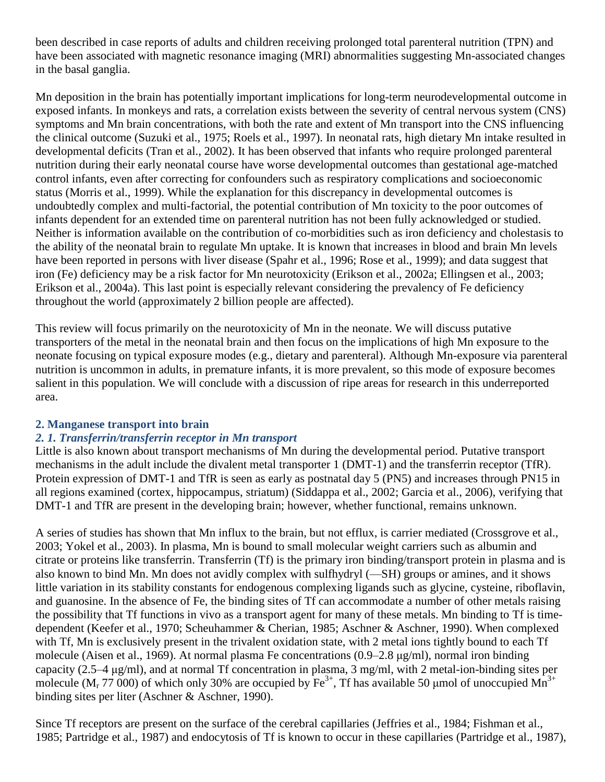been described in case reports of adults and children receiving prolonged total parenteral nutrition (TPN) and have been associated with magnetic resonance imaging (MRI) abnormalities suggesting Mn-associated changes in the basal ganglia.

Mn deposition in the brain has potentially important implications for long-term neurodevelopmental outcome in exposed infants. In monkeys and rats, a correlation exists between the severity of central nervous system (CNS) symptoms and Mn brain concentrations, with both the rate and extent of Mn transport into the CNS influencing the clinical outcome (Suzuki et al., 1975; Roels et al., 1997). In neonatal rats, high dietary Mn intake resulted in developmental deficits (Tran et al., 2002). It has been observed that infants who require prolonged parenteral nutrition during their early neonatal course have worse developmental outcomes than gestational age-matched control infants, even after correcting for confounders such as respiratory complications and socioeconomic status (Morris et al., 1999). While the explanation for this discrepancy in developmental outcomes is undoubtedly complex and multi-factorial, the potential contribution of Mn toxicity to the poor outcomes of infants dependent for an extended time on parenteral nutrition has not been fully acknowledged or studied. Neither is information available on the contribution of co-morbidities such as iron deficiency and cholestasis to the ability of the neonatal brain to regulate Mn uptake. It is known that increases in blood and brain Mn levels have been reported in persons with liver disease (Spahr et al., 1996; Rose et al., 1999); and data suggest that iron (Fe) deficiency may be a risk factor for Mn neurotoxicity (Erikson et al., 2002a; Ellingsen et al., 2003; Erikson et al., 2004a). This last point is especially relevant considering the prevalency of Fe deficiency throughout the world (approximately 2 billion people are affected).

This review will focus primarily on the neurotoxicity of Mn in the neonate. We will discuss putative transporters of the metal in the neonatal brain and then focus on the implications of high Mn exposure to the neonate focusing on typical exposure modes (e.g., dietary and parenteral). Although Mn-exposure via parenteral nutrition is uncommon in adults, in premature infants, it is more prevalent, so this mode of exposure becomes salient in this population. We will conclude with a discussion of ripe areas for research in this underreported area.

# **2. Manganese transport into brain**

# *2. 1. Transferrin/transferrin receptor in Mn transport*

Little is also known about transport mechanisms of Mn during the developmental period. Putative transport mechanisms in the adult include the divalent metal transporter 1 (DMT-1) and the transferrin receptor (TfR). Protein expression of DMT-1 and TfR is seen as early as postnatal day 5 (PN5) and increases through PN15 in all regions examined (cortex, hippocampus, striatum) (Siddappa et al., 2002; Garcia et al., 2006), verifying that DMT-1 and TfR are present in the developing brain; however, whether functional, remains unknown.

A series of studies has shown that Mn influx to the brain, but not efflux, is carrier mediated (Crossgrove et al., 2003; Yokel et al., 2003). In plasma, Mn is bound to small molecular weight carriers such as albumin and citrate or proteins like transferrin. Transferrin (Tf) is the primary iron binding/transport protein in plasma and is also known to bind Mn. Mn does not avidly complex with sulfhydryl (—SH) groups or amines, and it shows little variation in its stability constants for endogenous complexing ligands such as glycine, cysteine, riboflavin, and guanosine. In the absence of Fe, the binding sites of Tf can accommodate a number of other metals raising the possibility that Tf functions in vivo as a transport agent for many of these metals. Mn binding to Tf is timedependent (Keefer et al., 1970; Scheuhammer & Cherian, 1985; Aschner & Aschner, 1990). When complexed with Tf, Mn is exclusively present in the trivalent oxidation state, with 2 metal ions tightly bound to each Tf molecule (Aisen et al., 1969). At normal plasma Fe concentrations (0.9–2.8 μg/ml), normal iron binding capacity (2.5–4 μg/ml), and at normal Tf concentration in plasma, 3 mg/ml, with 2 metal-ion-binding sites per molecule ( $M_r$  77 000) of which only 30% are occupied by Fe<sup>3+</sup>, Tf has available 50 µmol of unoccupied  $M_n^{3+}$ binding sites per liter (Aschner & Aschner, 1990).

Since Tf receptors are present on the surface of the cerebral capillaries (Jeffries et al., 1984; Fishman et al., 1985; Partridge et al., 1987) and endocytosis of Tf is known to occur in these capillaries (Partridge et al., 1987),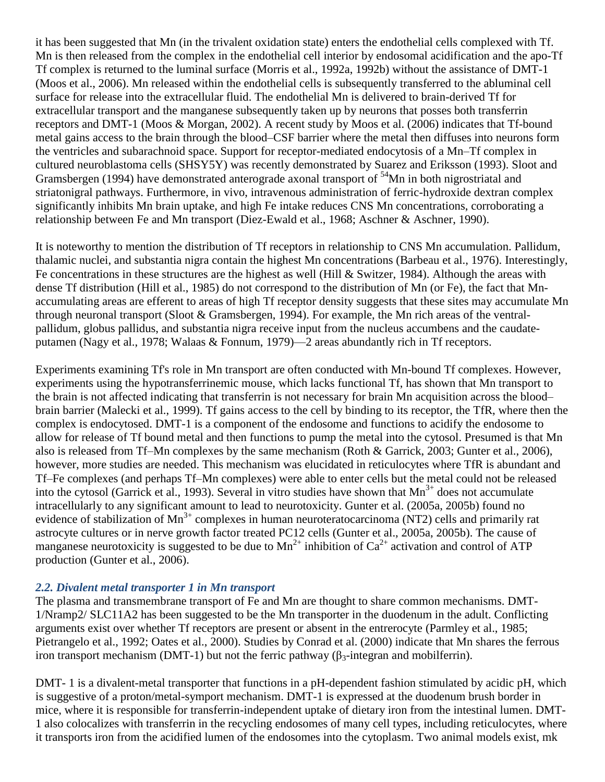it has been suggested that Mn (in the trivalent oxidation state) enters the endothelial cells complexed with Tf. Mn is then released from the complex in the endothelial cell interior by endosomal acidification and the apo-Tf Tf complex is returned to the luminal surface (Morris et al., 1992a, 1992b) without the assistance of DMT-1 (Moos et al., 2006). Mn released within the endothelial cells is subsequently transferred to the abluminal cell surface for release into the extracellular fluid. The endothelial Mn is delivered to brain-derived Tf for extracellular transport and the manganese subsequently taken up by neurons that posses both transferrin receptors and DMT-1 (Moos & Morgan, 2002). A recent study by Moos et al. (2006) indicates that Tf-bound metal gains access to the brain through the blood–CSF barrier where the metal then diffuses into neurons form the ventricles and subarachnoid space. Support for receptor-mediated endocytosis of a Mn–Tf complex in cultured neuroblastoma cells (SHSY5Y) was recently demonstrated by Suarez and Eriksson (1993). Sloot and Gramsbergen (1994) have demonstrated anterograde axonal transport of <sup>54</sup>Mn in both nigrostriatal and striatonigral pathways. Furthermore, in vivo, intravenous administration of ferric-hydroxide dextran complex significantly inhibits Mn brain uptake, and high Fe intake reduces CNS Mn concentrations, corroborating a relationship between Fe and Mn transport (Diez-Ewald et al., 1968; Aschner & Aschner, 1990).

It is noteworthy to mention the distribution of Tf receptors in relationship to CNS Mn accumulation. Pallidum, thalamic nuclei, and substantia nigra contain the highest Mn concentrations (Barbeau et al., 1976). Interestingly, Fe concentrations in these structures are the highest as well (Hill & Switzer, 1984). Although the areas with dense Tf distribution (Hill et al., 1985) do not correspond to the distribution of Mn (or Fe), the fact that Mnaccumulating areas are efferent to areas of high Tf receptor density suggests that these sites may accumulate Mn through neuronal transport (Sloot & Gramsbergen, 1994). For example, the Mn rich areas of the ventralpallidum, globus pallidus, and substantia nigra receive input from the nucleus accumbens and the caudateputamen (Nagy et al., 1978; Walaas & Fonnum, 1979)—2 areas abundantly rich in Tf receptors.

Experiments examining Tf's role in Mn transport are often conducted with Mn-bound Tf complexes. However, experiments using the hypotransferrinemic mouse, which lacks functional Tf, has shown that Mn transport to the brain is not affected indicating that transferrin is not necessary for brain Mn acquisition across the blood– brain barrier (Malecki et al., 1999). Tf gains access to the cell by binding to its receptor, the TfR, where then the complex is endocytosed. DMT-1 is a component of the endosome and functions to acidify the endosome to allow for release of Tf bound metal and then functions to pump the metal into the cytosol. Presumed is that Mn also is released from Tf–Mn complexes by the same mechanism (Roth & Garrick, 2003; Gunter et al., 2006), however, more studies are needed. This mechanism was elucidated in reticulocytes where TfR is abundant and Tf–Fe complexes (and perhaps Tf–Mn complexes) were able to enter cells but the metal could not be released into the cytosol (Garrick et al., 1993). Several in vitro studies have shown that  $Mn^{3+}$  does not accumulate intracellularly to any significant amount to lead to neurotoxicity. Gunter et al. (2005a, 2005b) found no evidence of stabilization of Mn<sup>3+</sup> complexes in human neuroteratocarcinoma (NT2) cells and primarily rat astrocyte cultures or in nerve growth factor treated PC12 cells (Gunter et al., 2005a, 2005b). The cause of manganese neurotoxicity is suggested to be due to  $Mn^{2+}$  inhibition of  $Ca^{2+}$  activation and control of ATP production (Gunter et al., 2006).

# *2.2. Divalent metal transporter 1 in Mn transport*

The plasma and transmembrane transport of Fe and Mn are thought to share common mechanisms. DMT-1/Nramp2/ SLC11A2 has been suggested to be the Mn transporter in the duodenum in the adult. Conflicting arguments exist over whether Tf receptors are present or absent in the entrerocyte (Parmley et al., 1985; Pietrangelo et al., 1992; Oates et al., 2000). Studies by Conrad et al. (2000) indicate that Mn shares the ferrous iron transport mechanism (DMT-1) but not the ferric pathway (β<sub>3</sub>-integran and mobilferrin).

DMT- 1 is a divalent-metal transporter that functions in a pH-dependent fashion stimulated by acidic pH, which is suggestive of a proton/metal-symport mechanism. DMT-1 is expressed at the duodenum brush border in mice, where it is responsible for transferrin-independent uptake of dietary iron from the intestinal lumen. DMT-1 also colocalizes with transferrin in the recycling endosomes of many cell types, including reticulocytes, where it transports iron from the acidified lumen of the endosomes into the cytoplasm. Two animal models exist, mk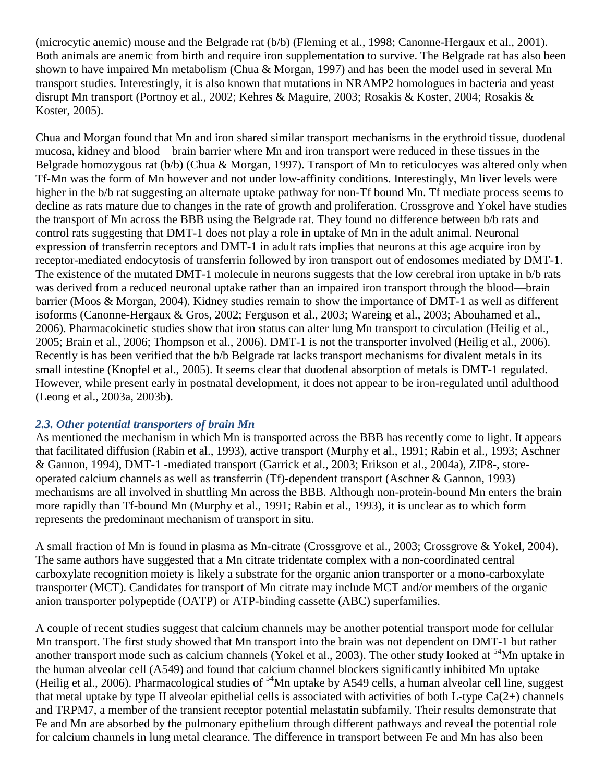(microcytic anemic) mouse and the Belgrade rat (b/b) (Fleming et al., 1998; Canonne-Hergaux et al., 2001). Both animals are anemic from birth and require iron supplementation to survive. The Belgrade rat has also been shown to have impaired Mn metabolism (Chua & Morgan, 1997) and has been the model used in several Mn transport studies. Interestingly, it is also known that mutations in NRAMP2 homologues in bacteria and yeast disrupt Mn transport (Portnoy et al., 2002; Kehres & Maguire, 2003; Rosakis & Koster, 2004; Rosakis & Koster, 2005).

Chua and Morgan found that Mn and iron shared similar transport mechanisms in the erythroid tissue, duodenal mucosa, kidney and blood—brain barrier where Mn and iron transport were reduced in these tissues in the Belgrade homozygous rat (b/b) (Chua & Morgan, 1997). Transport of Mn to reticulocyes was altered only when Tf-Mn was the form of Mn however and not under low-affinity conditions. Interestingly, Mn liver levels were higher in the b/b rat suggesting an alternate uptake pathway for non-Tf bound Mn. Tf mediate process seems to decline as rats mature due to changes in the rate of growth and proliferation. Crossgrove and Yokel have studies the transport of Mn across the BBB using the Belgrade rat. They found no difference between b/b rats and control rats suggesting that DMT-1 does not play a role in uptake of Mn in the adult animal. Neuronal expression of transferrin receptors and DMT-1 in adult rats implies that neurons at this age acquire iron by receptor-mediated endocytosis of transferrin followed by iron transport out of endosomes mediated by DMT-1. The existence of the mutated DMT-1 molecule in neurons suggests that the low cerebral iron uptake in b/b rats was derived from a reduced neuronal uptake rather than an impaired iron transport through the blood—brain barrier (Moos & Morgan, 2004). Kidney studies remain to show the importance of DMT-1 as well as different isoforms (Canonne-Hergaux & Gros, 2002; Ferguson et al., 2003; Wareing et al., 2003; Abouhamed et al., 2006). Pharmacokinetic studies show that iron status can alter lung Mn transport to circulation (Heilig et al., 2005; Brain et al., 2006; Thompson et al., 2006). DMT-1 is not the transporter involved (Heilig et al., 2006). Recently is has been verified that the b/b Belgrade rat lacks transport mechanisms for divalent metals in its small intestine (Knopfel et al., 2005). It seems clear that duodenal absorption of metals is DMT-1 regulated. However, while present early in postnatal development, it does not appear to be iron-regulated until adulthood (Leong et al., 2003a, 2003b).

# *2.3. Other potential transporters of brain Mn*

As mentioned the mechanism in which Mn is transported across the BBB has recently come to light. It appears that facilitated diffusion (Rabin et al., 1993), active transport (Murphy et al., 1991; Rabin et al., 1993; Aschner & Gannon, 1994), DMT-1 -mediated transport (Garrick et al., 2003; Erikson et al., 2004a), ZIP8-, storeoperated calcium channels as well as transferrin (Tf)-dependent transport (Aschner & Gannon, 1993) mechanisms are all involved in shuttling Mn across the BBB. Although non-protein-bound Mn enters the brain more rapidly than Tf-bound Mn (Murphy et al., 1991; Rabin et al., 1993), it is unclear as to which form represents the predominant mechanism of transport in situ.

A small fraction of Mn is found in plasma as Mn-citrate (Crossgrove et al., 2003; Crossgrove & Yokel, 2004). The same authors have suggested that a Mn citrate tridentate complex with a non-coordinated central carboxylate recognition moiety is likely a substrate for the organic anion transporter or a mono-carboxylate transporter (MCT). Candidates for transport of Mn citrate may include MCT and/or members of the organic anion transporter polypeptide (OATP) or ATP-binding cassette (ABC) superfamilies.

A couple of recent studies suggest that calcium channels may be another potential transport mode for cellular Mn transport. The first study showed that Mn transport into the brain was not dependent on DMT-1 but rather another transport mode such as calcium channels (Yokel et al., 2003). The other study looked at <sup>54</sup>Mn uptake in the human alveolar cell (A549) and found that calcium channel blockers significantly inhibited Mn uptake (Heilig et al., 2006). Pharmacological studies of  $54$ Mn uptake by A549 cells, a human alveolar cell line, suggest that metal uptake by type II alveolar epithelial cells is associated with activities of both L-type  $Ca(2+)$  channels and TRPM7, a member of the transient receptor potential melastatin subfamily. Their results demonstrate that Fe and Mn are absorbed by the pulmonary epithelium through different pathways and reveal the potential role for calcium channels in lung metal clearance. The difference in transport between Fe and Mn has also been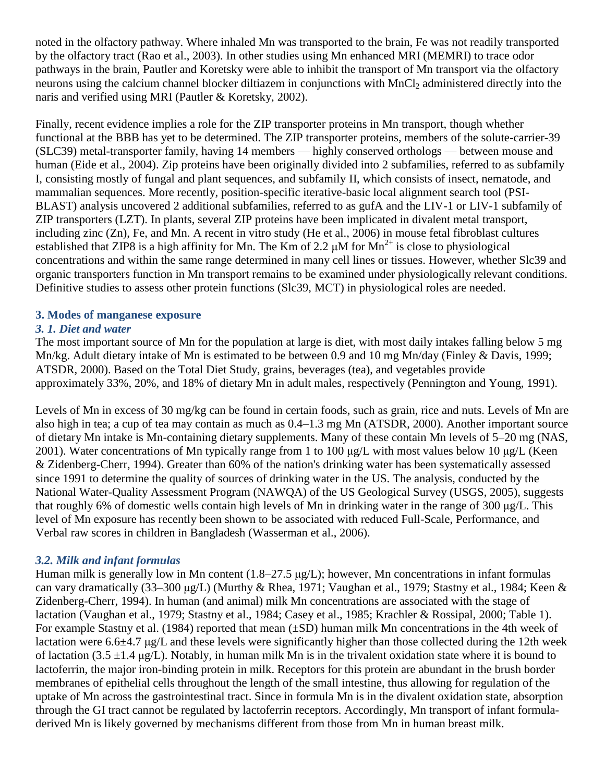noted in the olfactory pathway. Where inhaled Mn was transported to the brain, Fe was not readily transported by the olfactory tract (Rao et al., 2003). In other studies using Mn enhanced MRI (MEMRI) to trace odor pathways in the brain, Pautler and Koretsky were able to inhibit the transport of Mn transport via the olfactory neurons using the calcium channel blocker diltiazem in conjunctions with MnCl<sub>2</sub> administered directly into the naris and verified using MRI (Pautler & Koretsky, 2002).

Finally, recent evidence implies a role for the ZIP transporter proteins in Mn transport, though whether functional at the BBB has yet to be determined. The ZIP transporter proteins, members of the solute-carrier-39 (SLC39) metal-transporter family, having 14 members — highly conserved orthologs — between mouse and human (Eide et al., 2004). Zip proteins have been originally divided into 2 subfamilies, referred to as subfamily I, consisting mostly of fungal and plant sequences, and subfamily II, which consists of insect, nematode, and mammalian sequences. More recently, position-specific iterative-basic local alignment search tool (PSI-BLAST) analysis uncovered 2 additional subfamilies, referred to as gufA and the LIV-1 or LIV-1 subfamily of ZIP transporters (LZT). In plants, several ZIP proteins have been implicated in divalent metal transport, including zinc (Zn), Fe, and Mn. A recent in vitro study (He et al., 2006) in mouse fetal fibroblast cultures established that ZIP8 is a high affinity for Mn. The Km of 2.2  $\mu$ M for Mn<sup>2+</sup> is close to physiological concentrations and within the same range determined in many cell lines or tissues. However, whether Slc39 and organic transporters function in Mn transport remains to be examined under physiologically relevant conditions. Definitive studies to assess other protein functions (Slc39, MCT) in physiological roles are needed.

## **3. Modes of manganese exposure**

# *3. 1. Diet and water*

The most important source of Mn for the population at large is diet, with most daily intakes falling below 5 mg Mn/kg. Adult dietary intake of Mn is estimated to be between 0.9 and 10 mg Mn/day (Finley & Davis, 1999; ATSDR, 2000). Based on the Total Diet Study, grains, beverages (tea), and vegetables provide approximately 33%, 20%, and 18% of dietary Mn in adult males, respectively (Pennington and Young, 1991).

Levels of Mn in excess of 30 mg/kg can be found in certain foods, such as grain, rice and nuts. Levels of Mn are also high in tea; a cup of tea may contain as much as 0.4–1.3 mg Mn (ATSDR, 2000). Another important source of dietary Mn intake is Mn-containing dietary supplements. Many of these contain Mn levels of 5–20 mg (NAS, 2001). Water concentrations of Mn typically range from 1 to 100 μg/L with most values below 10 μg/L (Keen & Zidenberg-Cherr, 1994). Greater than 60% of the nation's drinking water has been systematically assessed since 1991 to determine the quality of sources of drinking water in the US. The analysis, conducted by the National Water-Quality Assessment Program (NAWQA) of the US Geological Survey (USGS, 2005), suggests that roughly 6% of domestic wells contain high levels of Mn in drinking water in the range of 300 μg/L. This level of Mn exposure has recently been shown to be associated with reduced Full-Scale, Performance, and Verbal raw scores in children in Bangladesh (Wasserman et al., 2006).

### *3.2. Milk and infant formulas*

Human milk is generally low in Mn content (1.8–27.5 μg/L); however, Mn concentrations in infant formulas can vary dramatically (33–300 μg/L) (Murthy & Rhea, 1971; Vaughan et al., 1979; Stastny et al., 1984; Keen & Zidenberg-Cherr, 1994). In human (and animal) milk Mn concentrations are associated with the stage of lactation (Vaughan et al., 1979; Stastny et al., 1984; Casey et al., 1985; Krachler & Rossipal, 2000; Table 1). For example Stastny et al. (1984) reported that mean (±SD) human milk Mn concentrations in the 4th week of lactation were 6.6±4.7 μg/L and these levels were significantly higher than those collected during the 12th week of lactation (3.5  $\pm$ 1.4 μg/L). Notably, in human milk Mn is in the trivalent oxidation state where it is bound to lactoferrin, the major iron-binding protein in milk. Receptors for this protein are abundant in the brush border membranes of epithelial cells throughout the length of the small intestine, thus allowing for regulation of the uptake of Mn across the gastrointestinal tract. Since in formula Mn is in the divalent oxidation state, absorption through the GI tract cannot be regulated by lactoferrin receptors. Accordingly, Mn transport of infant formuladerived Mn is likely governed by mechanisms different from those from Mn in human breast milk.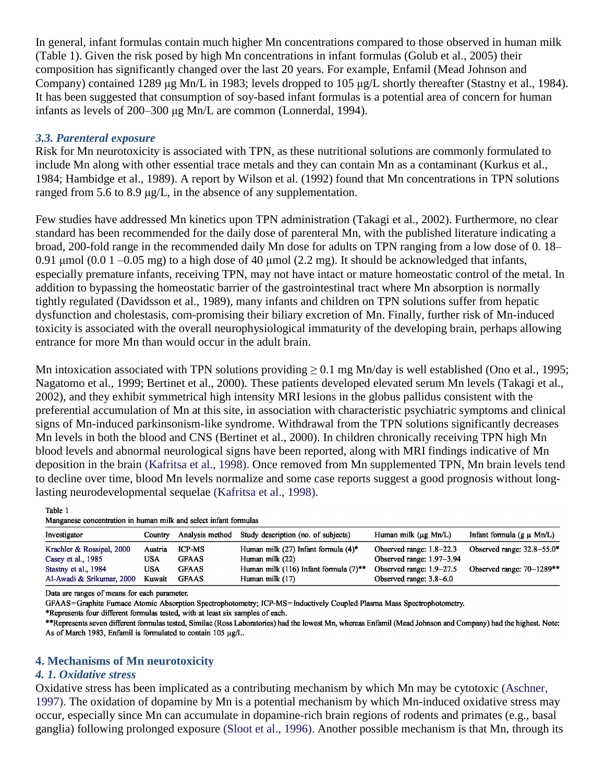In general, infant formulas contain much higher Mn concentrations compared to those observed in human milk (Table 1). Given the risk posed by high Mn concentrations in infant formulas (Golub et al., 2005) their composition has significantly changed over the last 20 years. For example, Enfamil (Mead Johnson and Company) contained 1289 μg Mn/L in 1983; levels dropped to 105 μg/L shortly thereafter (Stastny et al., 1984). It has been suggested that consumption of soy-based infant formulas is a potential area of concern for human infants as levels of 200–300 μg Mn/L are common (Lonnerdal, 1994).

## *3.3. Parenteral exposure*

Risk for Mn neurotoxicity is associated with TPN, as these nutritional solutions are commonly formulated to include Mn along with other essential trace metals and they can contain Mn as a contaminant (Kurkus et al., 1984; Hambidge et al., 1989). A report by Wilson et al. (1992) found that Mn concentrations in TPN solutions ranged from 5.6 to 8.9 μg/L, in the absence of any supplementation.

Few studies have addressed Mn kinetics upon TPN administration (Takagi et al., 2002). Furthermore, no clear standard has been recommended for the daily dose of parenteral Mn, with the published literature indicating a broad, 200-fold range in the recommended daily Mn dose for adults on TPN ranging from a low dose of 0. 18– 0.91 μmol (0.0 1 –0.05 mg) to a high dose of 40 μmol (2.2 mg). It should be acknowledged that infants, especially premature infants, receiving TPN, may not have intact or mature homeostatic control of the metal. In addition to bypassing the homeostatic barrier of the gastrointestinal tract where Mn absorption is normally tightly regulated (Davidsson et al., 1989), many infants and children on TPN solutions suffer from hepatic dysfunction and cholestasis, com-promising their biliary excretion of Mn. Finally, further risk of Mn-induced toxicity is associated with the overall neurophysiological immaturity of the developing brain, perhaps allowing entrance for more Mn than would occur in the adult brain.

Mn intoxication associated with TPN solutions providing  $\geq 0.1$  mg Mn/day is well established (Ono et al., 1995; Nagatomo et al., 1999; Bertinet et al., 2000). These patients developed elevated serum Mn levels (Takagi et al., 2002), and they exhibit symmetrical high intensity MRI lesions in the globus pallidus consistent with the preferential accumulation of Mn at this site, in association with characteristic psychiatric symptoms and clinical signs of Mn-induced parkinsonism-like syndrome. Withdrawal from the TPN solutions significantly decreases Mn levels in both the blood and CNS (Bertinet et al., 2000). In children chronically receiving TPN high Mn blood levels and abnormal neurological signs have been reported, along with MRI findings indicative of Mn deposition in the brain (Kafritsa et al., 1998). Once removed from Mn supplemented TPN, Mn brain levels tend to decline over time, blood Mn levels normalize and some case reports suggest a good prognosis without longlasting neurodevelopmental sequelae (Kafritsa et al., 1998).

Table 1

| Manganese concentration in human milk and select infant formulas |  |  |  |  |  |  |  |
|------------------------------------------------------------------|--|--|--|--|--|--|--|
|------------------------------------------------------------------|--|--|--|--|--|--|--|

| Investigator              | Country | Analysis method | Study description (no. of subjects)                 | Human milk $(\mu g \text{ Mn}/L)$ | Infant formula $(g \mu Mn/L)$  |
|---------------------------|---------|-----------------|-----------------------------------------------------|-----------------------------------|--------------------------------|
| Krachler & Rossipal, 2000 | Austria | <b>ICP-MS</b>   | Human milk (27) Infant formula $(4)^*$              | Observed range: $1.8-22.3$        | Observed range: $32.8 - 55.0*$ |
| Casey et al., 1985        | USA     | <b>GFAAS</b>    | Human milk (22)                                     | Observed range: $1.97-3.94$       |                                |
| Stastny et al., 1984      | USA     | <b>GFAAS</b>    | Human milk (116) Infant formula $(7)$ <sup>**</sup> | Observed range: $1.9 - 27.5$      | Observed range: $70-1289**$    |
| Al-Awadi & Srikumar, 2000 | Kuwait  | <b>GFAAS</b>    | Human milk $(17)$                                   | Observed range: 3.8–6.0           |                                |

Data are ranges of means for each parameter.

GFAAS=Graphite Furnace Atomic Absorption Spectrophotometry; ICP-MS=Inductively Coupled Plasma Mass Spectrophotometry.

\*Represents four different formulas tested, with at least six samples of each.

\*\*Represents seven different formulas tested, Similac (Ross Laboratories) had the lowest Mn, whereas Enfamil (Mead Johnson and Company) had the highest. Note: As of March 1983, Enfamil is formulated to contain 105 µg/L.

### **4. Mechanisms of Mn neurotoxicity**

#### *4. 1. Oxidative stress*

Oxidative stress has been implicated as a contributing mechanism by which Mn may be cytotoxic (Aschner, 1997). The oxidation of dopamine by Mn is a potential mechanism by which Mn-induced oxidative stress may occur, especially since Mn can accumulate in dopamine-rich brain regions of rodents and primates (e.g., basal ganglia) following prolonged exposure (Sloot et al., 1996). Another possible mechanism is that Mn, through its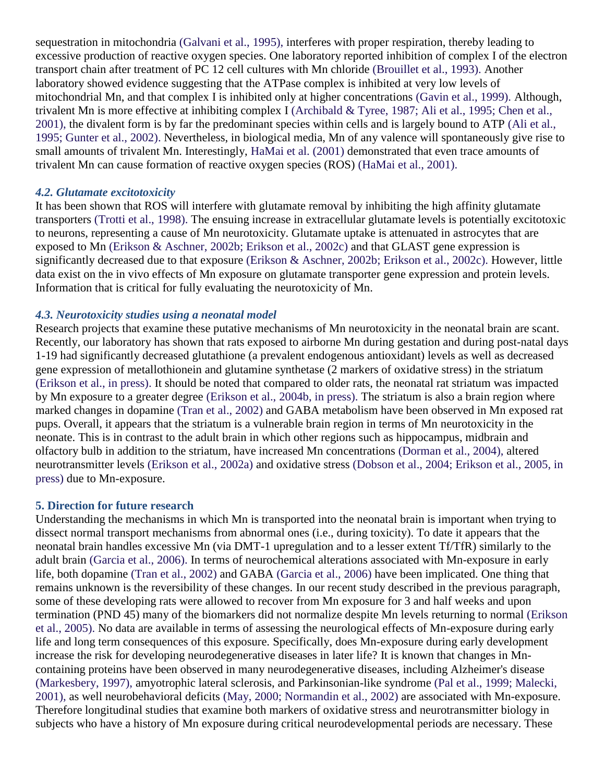sequestration in mitochondria (Galvani et al., 1995), interferes with proper respiration, thereby leading to excessive production of reactive oxygen species. One laboratory reported inhibition of complex I of the electron transport chain after treatment of PC 12 cell cultures with Mn chloride (Brouillet et al., 1993). Another laboratory showed evidence suggesting that the ATPase complex is inhibited at very low levels of mitochondrial Mn, and that complex I is inhibited only at higher concentrations (Gavin et al., 1999). Although, trivalent Mn is more effective at inhibiting complex I (Archibald & Tyree, 1987; Ali et al., 1995; Chen et al., 2001), the divalent form is by far the predominant species within cells and is largely bound to ATP (Ali et al., 1995; Gunter et al., 2002). Nevertheless, in biological media, Mn of any valence will spontaneously give rise to small amounts of trivalent Mn. Interestingly, HaMai et al. (2001) demonstrated that even trace amounts of trivalent Mn can cause formation of reactive oxygen species (ROS) (HaMai et al., 2001).

#### *4.2. Glutamate excitotoxicity*

It has been shown that ROS will interfere with glutamate removal by inhibiting the high affinity glutamate transporters (Trotti et al., 1998). The ensuing increase in extracellular glutamate levels is potentially excitotoxic to neurons, representing a cause of Mn neurotoxicity. Glutamate uptake is attenuated in astrocytes that are exposed to Mn (Erikson & Aschner, 2002b; Erikson et al., 2002c) and that GLAST gene expression is significantly decreased due to that exposure (Erikson & Aschner, 2002b; Erikson et al., 2002c). However, little data exist on the in vivo effects of Mn exposure on glutamate transporter gene expression and protein levels. Information that is critical for fully evaluating the neurotoxicity of Mn.

### *4.3. Neurotoxicity studies using a neonatal model*

Research projects that examine these putative mechanisms of Mn neurotoxicity in the neonatal brain are scant. Recently, our laboratory has shown that rats exposed to airborne Mn during gestation and during post-natal days 1-19 had significantly decreased glutathione (a prevalent endogenous antioxidant) levels as well as decreased gene expression of metallothionein and glutamine synthetase (2 markers of oxidative stress) in the striatum (Erikson et al., in press). It should be noted that compared to older rats, the neonatal rat striatum was impacted by Mn exposure to a greater degree (Erikson et al., 2004b, in press). The striatum is also a brain region where marked changes in dopamine (Tran et al., 2002) and GABA metabolism have been observed in Mn exposed rat pups. Overall, it appears that the striatum is a vulnerable brain region in terms of Mn neurotoxicity in the neonate. This is in contrast to the adult brain in which other regions such as hippocampus, midbrain and olfactory bulb in addition to the striatum, have increased Mn concentrations (Dorman et al., 2004), altered neurotransmitter levels (Erikson et al., 2002a) and oxidative stress (Dobson et al., 2004; Erikson et al., 2005, in press) due to Mn-exposure.

#### **5. Direction for future research**

Understanding the mechanisms in which Mn is transported into the neonatal brain is important when trying to dissect normal transport mechanisms from abnormal ones (i.e., during toxicity). To date it appears that the neonatal brain handles excessive Mn (via DMT-1 upregulation and to a lesser extent Tf/TfR) similarly to the adult brain (Garcia et al., 2006). In terms of neurochemical alterations associated with Mn-exposure in early life, both dopamine (Tran et al., 2002) and GABA (Garcia et al., 2006) have been implicated. One thing that remains unknown is the reversibility of these changes. In our recent study described in the previous paragraph, some of these developing rats were allowed to recover from Mn exposure for 3 and half weeks and upon termination (PND 45) many of the biomarkers did not normalize despite Mn levels returning to normal (Erikson et al., 2005). No data are available in terms of assessing the neurological effects of Mn-exposure during early life and long term consequences of this exposure. Specifically, does Mn-exposure during early development increase the risk for developing neurodegenerative diseases in later life? It is known that changes in Mncontaining proteins have been observed in many neurodegenerative diseases, including Alzheimer's disease (Markesbery, 1997), amyotrophic lateral sclerosis, and Parkinsonian-like syndrome (Pal et al., 1999; Malecki, 2001), as well neurobehavioral deficits (May, 2000; Normandin et al., 2002) are associated with Mn-exposure. Therefore longitudinal studies that examine both markers of oxidative stress and neurotransmitter biology in subjects who have a history of Mn exposure during critical neurodevelopmental periods are necessary. These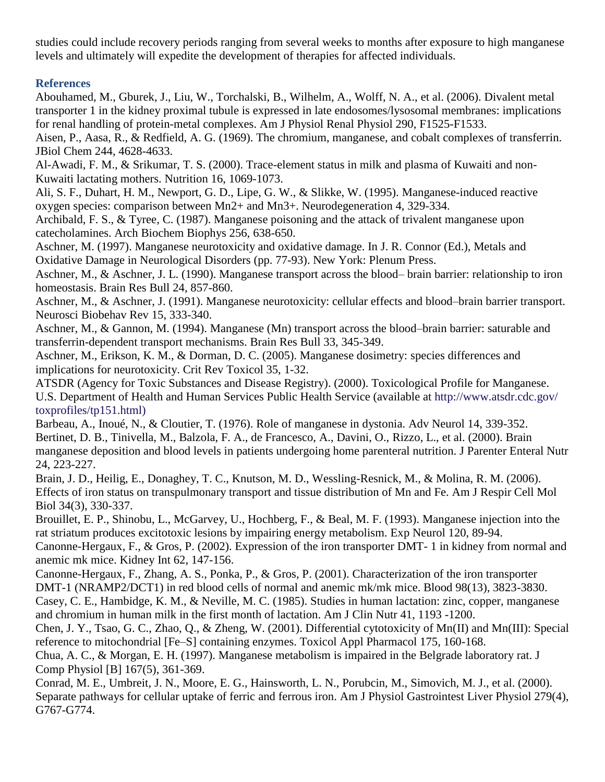studies could include recovery periods ranging from several weeks to months after exposure to high manganese levels and ultimately will expedite the development of therapies for affected individuals.

# **References**

Abouhamed, M., Gburek, J., Liu, W., Torchalski, B., Wilhelm, A., Wolff, N. A., et al. (2006). Divalent metal transporter 1 in the kidney proximal tubule is expressed in late endosomes/lysosomal membranes: implications for renal handling of protein-metal complexes. Am J Physiol Renal Physiol 290, F1525-F1533.

Aisen, P., Aasa, R., & Redfield, A. G. (1969). The chromium, manganese, and cobalt complexes of transferrin. JBiol Chem 244, 4628-4633.

Al-Awadi, F. M., & Srikumar, T. S. (2000). Trace-element status in milk and plasma of Kuwaiti and non-Kuwaiti lactating mothers. Nutrition 16, 1069-1073.

Ali, S. F., Duhart, H. M., Newport, G. D., Lipe, G. W., & Slikke, W. (1995). Manganese-induced reactive oxygen species: comparison between Mn2+ and Mn3+. Neurodegeneration 4, 329-334.

Archibald, F. S., & Tyree, C. (1987). Manganese poisoning and the attack of trivalent manganese upon catecholamines. Arch Biochem Biophys 256, 638-650.

Aschner, M. (1997). Manganese neurotoxicity and oxidative damage. In J. R. Connor (Ed.), Metals and Oxidative Damage in Neurological Disorders (pp. 77-93). New York: Plenum Press.

Aschner, M., & Aschner, J. L. (1990). Manganese transport across the blood– brain barrier: relationship to iron homeostasis. Brain Res Bull 24, 857-860.

Aschner, M., & Aschner, J. (1991). Manganese neurotoxicity: cellular effects and blood–brain barrier transport. Neurosci Biobehav Rev 15, 333-340.

Aschner, M., & Gannon, M. (1994). Manganese (Mn) transport across the blood–brain barrier: saturable and transferrin-dependent transport mechanisms. Brain Res Bull 33, 345-349.

Aschner, M., Erikson, K. M., & Dorman, D. C. (2005). Manganese dosimetry: species differences and implications for neurotoxicity. Crit Rev Toxicol 35, 1-32.

ATSDR (Agency for Toxic Substances and Disease Registry). (2000). Toxicological Profile for Manganese. U.S. Department of Health and Human Services Public Health Service (available at http://www.atsdr.cdc.gov/ toxprofiles/tp151.html)

Barbeau, A., Inoué, N., & Cloutier, T. (1976). Role of manganese in dystonia. Adv Neurol 14, 339-352. Bertinet, D. B., Tinivella, M., Balzola, F. A., de Francesco, A., Davini, O., Rizzo, L., et al. (2000). Brain manganese deposition and blood levels in patients undergoing home parenteral nutrition. J Parenter Enteral Nutr 24, 223-227.

Brain, J. D., Heilig, E., Donaghey, T. C., Knutson, M. D., Wessling-Resnick, M., & Molina, R. M. (2006). Effects of iron status on transpulmonary transport and tissue distribution of Mn and Fe. Am J Respir Cell Mol Biol 34(3), 330-337.

Brouillet, E. P., Shinobu, L., McGarvey, U., Hochberg, F., & Beal, M. F. (1993). Manganese injection into the rat striatum produces excitotoxic lesions by impairing energy metabolism. Exp Neurol 120, 89-94. Canonne-Hergaux, F., & Gros, P. (2002). Expression of the iron transporter DMT- 1 in kidney from normal and

anemic mk mice. Kidney Int 62, 147-156.

Canonne-Hergaux, F., Zhang, A. S., Ponka, P., & Gros, P. (2001). Characterization of the iron transporter DMT-1 (NRAMP2/DCT1) in red blood cells of normal and anemic mk/mk mice. Blood 98(13), 3823-3830.

Casey, C. E., Hambidge, K. M., & Neville, M. C. (1985). Studies in human lactation: zinc, copper, manganese and chromium in human milk in the first month of lactation. Am J Clin Nutr 41, 1193 -1200.

Chen, J. Y., Tsao, G. C., Zhao, Q., & Zheng, W. (2001). Differential cytotoxicity of Mn(II) and Mn(III): Special reference to mitochondrial [Fe–S] containing enzymes. Toxicol Appl Pharmacol 175, 160-168.

Chua, A. C., & Morgan, E. H. (1997). Manganese metabolism is impaired in the Belgrade laboratory rat. J Comp Physiol [B] 167(5), 361-369.

Conrad, M. E., Umbreit, J. N., Moore, E. G., Hainsworth, L. N., Porubcin, M., Simovich, M. J., et al. (2000). Separate pathways for cellular uptake of ferric and ferrous iron. Am J Physiol Gastrointest Liver Physiol 279(4), G767-G774.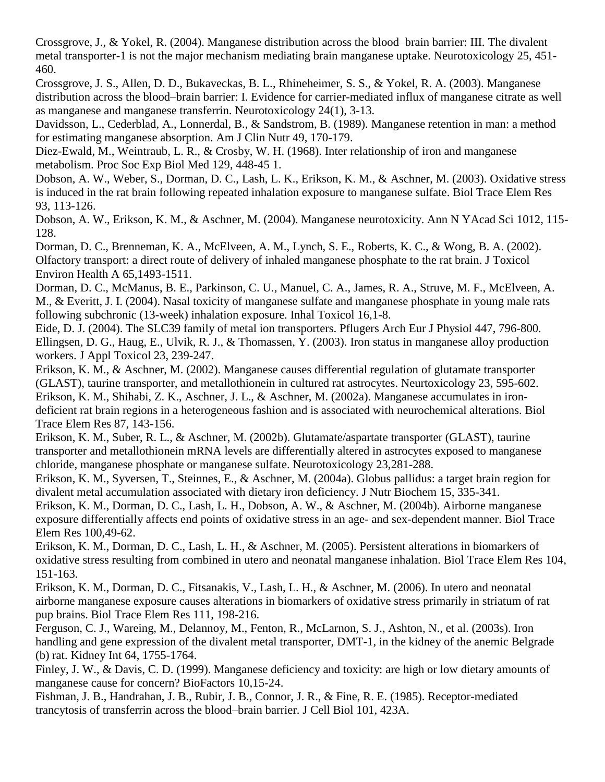Crossgrove, J., & Yokel, R. (2004). Manganese distribution across the blood–brain barrier: III. The divalent metal transporter-1 is not the major mechanism mediating brain manganese uptake. Neurotoxicology 25, 451- 460.

Crossgrove, J. S., Allen, D. D., Bukaveckas, B. L., Rhineheimer, S. S., & Yokel, R. A. (2003). Manganese distribution across the blood–brain barrier: I. Evidence for carrier-mediated influx of manganese citrate as well as manganese and manganese transferrin. Neurotoxicology 24(1), 3-13.

Davidsson, L., Cederblad, A., Lonnerdal, B., & Sandstrom, B. (1989). Manganese retention in man: a method for estimating manganese absorption. Am J Clin Nutr 49, 170-179.

Diez-Ewald, M., Weintraub, L. R., & Crosby, W. H. (1968). Inter relationship of iron and manganese metabolism. Proc Soc Exp Biol Med 129, 448-45 1.

Dobson, A. W., Weber, S., Dorman, D. C., Lash, L. K., Erikson, K. M., & Aschner, M. (2003). Oxidative stress is induced in the rat brain following repeated inhalation exposure to manganese sulfate. Biol Trace Elem Res 93, 113-126.

Dobson, A. W., Erikson, K. M., & Aschner, M. (2004). Manganese neurotoxicity. Ann N YAcad Sci 1012, 115- 128.

Dorman, D. C., Brenneman, K. A., McElveen, A. M., Lynch, S. E., Roberts, K. C., & Wong, B. A. (2002). Olfactory transport: a direct route of delivery of inhaled manganese phosphate to the rat brain. J Toxicol Environ Health A 65,1493-1511.

Dorman, D. C., McManus, B. E., Parkinson, C. U., Manuel, C. A., James, R. A., Struve, M. F., McElveen, A. M., & Everitt, J. I. (2004). Nasal toxicity of manganese sulfate and manganese phosphate in young male rats following subchronic (13-week) inhalation exposure. Inhal Toxicol 16,1-8.

Eide, D. J. (2004). The SLC39 family of metal ion transporters. Pflugers Arch Eur J Physiol 447, 796-800. Ellingsen, D. G., Haug, E., Ulvik, R. J., & Thomassen, Y. (2003). Iron status in manganese alloy production workers. J Appl Toxicol 23, 239-247.

Erikson, K. M., & Aschner, M. (2002). Manganese causes differential regulation of glutamate transporter (GLAST), taurine transporter, and metallothionein in cultured rat astrocytes. Neurtoxicology 23, 595-602. Erikson, K. M., Shihabi, Z. K., Aschner, J. L., & Aschner, M. (2002a). Manganese accumulates in irondeficient rat brain regions in a heterogeneous fashion and is associated with neurochemical alterations. Biol Trace Elem Res 87, 143-156.

Erikson, K. M., Suber, R. L., & Aschner, M. (2002b). Glutamate/aspartate transporter (GLAST), taurine transporter and metallothionein mRNA levels are differentially altered in astrocytes exposed to manganese chloride, manganese phosphate or manganese sulfate. Neurotoxicology 23,281-288.

Erikson, K. M., Syversen, T., Steinnes, E., & Aschner, M. (2004a). Globus pallidus: a target brain region for divalent metal accumulation associated with dietary iron deficiency. J Nutr Biochem 15, 335-341.

Erikson, K. M., Dorman, D. C., Lash, L. H., Dobson, A. W., & Aschner, M. (2004b). Airborne manganese exposure differentially affects end points of oxidative stress in an age- and sex-dependent manner. Biol Trace Elem Res 100,49-62.

Erikson, K. M., Dorman, D. C., Lash, L. H., & Aschner, M. (2005). Persistent alterations in biomarkers of oxidative stress resulting from combined in utero and neonatal manganese inhalation. Biol Trace Elem Res 104, 151-163.

Erikson, K. M., Dorman, D. C., Fitsanakis, V., Lash, L. H., & Aschner, M. (2006). In utero and neonatal airborne manganese exposure causes alterations in biomarkers of oxidative stress primarily in striatum of rat pup brains. Biol Trace Elem Res 111, 198-216.

Ferguson, C. J., Wareing, M., Delannoy, M., Fenton, R., McLarnon, S. J., Ashton, N., et al. (2003s). Iron handling and gene expression of the divalent metal transporter, DMT-1, in the kidney of the anemic Belgrade (b) rat. Kidney Int 64, 1755-1764.

Finley, J. W., & Davis, C. D. (1999). Manganese deficiency and toxicity: are high or low dietary amounts of manganese cause for concern? BioFactors 10,15-24.

Fishman, J. B., Handrahan, J. B., Rubir, J. B., Connor, J. R., & Fine, R. E. (1985). Receptor-mediated trancytosis of transferrin across the blood–brain barrier. J Cell Biol 101, 423A.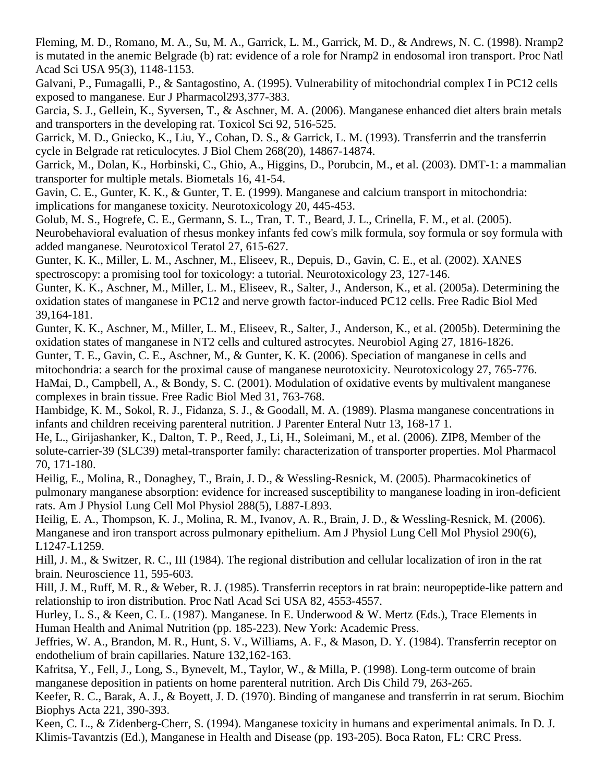Fleming, M. D., Romano, M. A., Su, M. A., Garrick, L. M., Garrick, M. D., & Andrews, N. C. (1998). Nramp2 is mutated in the anemic Belgrade (b) rat: evidence of a role for Nramp2 in endosomal iron transport. Proc Natl Acad Sci USA 95(3), 1148-1153.

Galvani, P., Fumagalli, P., & Santagostino, A. (1995). Vulnerability of mitochondrial complex I in PC12 cells exposed to manganese. Eur J Pharmacol293,377-383.

Garcia, S. J., Gellein, K., Syversen, T., & Aschner, M. A. (2006). Manganese enhanced diet alters brain metals and transporters in the developing rat. Toxicol Sci 92, 516-525.

Garrick, M. D., Gniecko, K., Liu, Y., Cohan, D. S., & Garrick, L. M. (1993). Transferrin and the transferrin cycle in Belgrade rat reticulocytes. J Biol Chem 268(20), 14867-14874.

Garrick, M., Dolan, K., Horbinski, C., Ghio, A., Higgins, D., Porubcin, M., et al. (2003). DMT-1: a mammalian transporter for multiple metals. Biometals 16, 41-54.

Gavin, C. E., Gunter, K. K., & Gunter, T. E. (1999). Manganese and calcium transport in mitochondria: implications for manganese toxicity. Neurotoxicology 20, 445-453.

Golub, M. S., Hogrefe, C. E., Germann, S. L., Tran, T. T., Beard, J. L., Crinella, F. M., et al. (2005). Neurobehavioral evaluation of rhesus monkey infants fed cow's milk formula, soy formula or soy formula with added manganese. Neurotoxicol Teratol 27, 615-627.

Gunter, K. K., Miller, L. M., Aschner, M., Eliseev, R., Depuis, D., Gavin, C. E., et al. (2002). XANES spectroscopy: a promising tool for toxicology: a tutorial. Neurotoxicology 23, 127-146.

Gunter, K. K., Aschner, M., Miller, L. M., Eliseev, R., Salter, J., Anderson, K., et al. (2005a). Determining the oxidation states of manganese in PC12 and nerve growth factor-induced PC12 cells. Free Radic Biol Med 39,164-181.

Gunter, K. K., Aschner, M., Miller, L. M., Eliseev, R., Salter, J., Anderson, K., et al. (2005b). Determining the oxidation states of manganese in NT2 cells and cultured astrocytes. Neurobiol Aging 27, 1816-1826.

Gunter, T. E., Gavin, C. E., Aschner, M., & Gunter, K. K. (2006). Speciation of manganese in cells and mitochondria: a search for the proximal cause of manganese neurotoxicity. Neurotoxicology 27, 765-776. HaMai, D., Campbell, A., & Bondy, S. C. (2001). Modulation of oxidative events by multivalent manganese complexes in brain tissue. Free Radic Biol Med 31, 763-768.

Hambidge, K. M., Sokol, R. J., Fidanza, S. J., & Goodall, M. A. (1989). Plasma manganese concentrations in infants and children receiving parenteral nutrition. J Parenter Enteral Nutr 13, 168-17 1.

He, L., Girijashanker, K., Dalton, T. P., Reed, J., Li, H., Soleimani, M., et al. (2006). ZIP8, Member of the solute-carrier-39 (SLC39) metal-transporter family: characterization of transporter properties. Mol Pharmacol 70, 171-180.

Heilig, E., Molina, R., Donaghey, T., Brain, J. D., & Wessling-Resnick, M. (2005). Pharmacokinetics of pulmonary manganese absorption: evidence for increased susceptibility to manganese loading in iron-deficient rats. Am J Physiol Lung Cell Mol Physiol 288(5), L887-L893.

Heilig, E. A., Thompson, K. J., Molina, R. M., Ivanov, A. R., Brain, J. D., & Wessling-Resnick, M. (2006). Manganese and iron transport across pulmonary epithelium. Am J Physiol Lung Cell Mol Physiol 290(6), L1247-L1259.

Hill, J. M., & Switzer, R. C., III (1984). The regional distribution and cellular localization of iron in the rat brain. Neuroscience 11, 595-603.

Hill, J. M., Ruff, M. R., & Weber, R. J. (1985). Transferrin receptors in rat brain: neuropeptide-like pattern and relationship to iron distribution. Proc Natl Acad Sci USA 82, 4553-4557.

Hurley, L. S., & Keen, C. L. (1987). Manganese. In E. Underwood & W. Mertz (Eds.), Trace Elements in Human Health and Animal Nutrition (pp. 185-223). New York: Academic Press.

Jeffries, W. A., Brandon, M. R., Hunt, S. V., Williams, A. F., & Mason, D. Y. (1984). Transferrin receptor on endothelium of brain capillaries. Nature 132,162-163.

Kafritsa, Y., Fell, J., Long, S., Bynevelt, M., Taylor, W., & Milla, P. (1998). Long-term outcome of brain manganese deposition in patients on home parenteral nutrition. Arch Dis Child 79, 263-265.

Keefer, R. C., Barak, A. J., & Boyett, J. D. (1970). Binding of manganese and transferrin in rat serum. Biochim Biophys Acta 221, 390-393.

Keen, C. L., & Zidenberg-Cherr, S. (1994). Manganese toxicity in humans and experimental animals. In D. J. Klimis-Tavantzis (Ed.), Manganese in Health and Disease (pp. 193-205). Boca Raton, FL: CRC Press.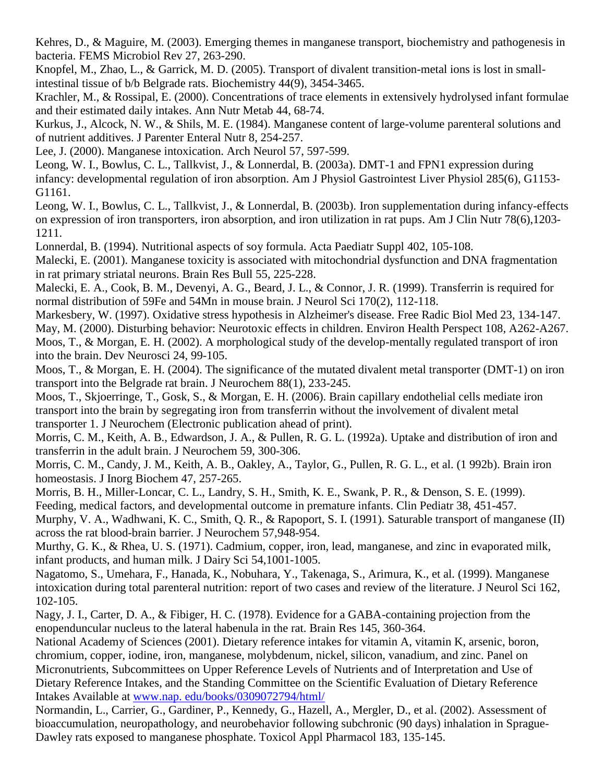Kehres, D., & Maguire, M. (2003). Emerging themes in manganese transport, biochemistry and pathogenesis in bacteria. FEMS Microbiol Rev 27, 263-290.

Knopfel, M., Zhao, L., & Garrick, M. D. (2005). Transport of divalent transition-metal ions is lost in smallintestinal tissue of b/b Belgrade rats. Biochemistry 44(9), 3454-3465.

Krachler, M., & Rossipal, E. (2000). Concentrations of trace elements in extensively hydrolysed infant formulae and their estimated daily intakes. Ann Nutr Metab 44, 68-74.

Kurkus, J., Alcock, N. W., & Shils, M. E. (1984). Manganese content of large-volume parenteral solutions and of nutrient additives. J Parenter Enteral Nutr 8, 254-257.

Lee, J. (2000). Manganese intoxication. Arch Neurol 57, 597-599.

Leong, W. I., Bowlus, C. L., Tallkvist, J., & Lonnerdal, B. (2003a). DMT-1 and FPN1 expression during infancy: developmental regulation of iron absorption. Am J Physiol Gastrointest Liver Physiol 285(6), G1153- G1161.

Leong, W. I., Bowlus, C. L., Tallkvist, J., & Lonnerdal, B. (2003b). Iron supplementation during infancy-effects on expression of iron transporters, iron absorption, and iron utilization in rat pups. Am J Clin Nutr 78(6),1203- 1211.

Lonnerdal, B. (1994). Nutritional aspects of soy formula. Acta Paediatr Suppl 402, 105-108.

Malecki, E. (2001). Manganese toxicity is associated with mitochondrial dysfunction and DNA fragmentation in rat primary striatal neurons. Brain Res Bull 55, 225-228.

Malecki, E. A., Cook, B. M., Devenyi, A. G., Beard, J. L., & Connor, J. R. (1999). Transferrin is required for normal distribution of 59Fe and 54Mn in mouse brain. J Neurol Sci 170(2), 112-118.

Markesbery, W. (1997). Oxidative stress hypothesis in Alzheimer's disease. Free Radic Biol Med 23, 134-147. May, M. (2000). Disturbing behavior: Neurotoxic effects in children. Environ Health Perspect 108, A262-A267. Moos, T., & Morgan, E. H. (2002). A morphological study of the develop-mentally regulated transport of iron into the brain. Dev Neurosci 24, 99-105.

Moos, T., & Morgan, E. H. (2004). The significance of the mutated divalent metal transporter (DMT-1) on iron transport into the Belgrade rat brain. J Neurochem 88(1), 233-245.

Moos, T., Skjoerringe, T., Gosk, S., & Morgan, E. H. (2006). Brain capillary endothelial cells mediate iron transport into the brain by segregating iron from transferrin without the involvement of divalent metal transporter 1. J Neurochem (Electronic publication ahead of print).

Morris, C. M., Keith, A. B., Edwardson, J. A., & Pullen, R. G. L. (1992a). Uptake and distribution of iron and transferrin in the adult brain. J Neurochem 59, 300-306.

Morris, C. M., Candy, J. M., Keith, A. B., Oakley, A., Taylor, G., Pullen, R. G. L., et al. (1 992b). Brain iron homeostasis. J Inorg Biochem 47, 257-265.

Morris, B. H., Miller-Loncar, C. L., Landry, S. H., Smith, K. E., Swank, P. R., & Denson, S. E. (1999). Feeding, medical factors, and developmental outcome in premature infants. Clin Pediatr 38, 451-457.

Murphy, V. A., Wadhwani, K. C., Smith, Q. R., & Rapoport, S. I. (1991). Saturable transport of manganese (II) across the rat blood-brain barrier. J Neurochem 57,948-954.

Murthy, G. K., & Rhea, U. S. (1971). Cadmium, copper, iron, lead, manganese, and zinc in evaporated milk, infant products, and human milk. J Dairy Sci 54,1001-1005.

Nagatomo, S., Umehara, F., Hanada, K., Nobuhara, Y., Takenaga, S., Arimura, K., et al. (1999). Manganese intoxication during total parenteral nutrition: report of two cases and review of the literature. J Neurol Sci 162, 102-105.

Nagy, J. I., Carter, D. A., & Fibiger, H. C. (1978). Evidence for a GABA-containing projection from the enopenduncular nucleus to the lateral habenula in the rat. Brain Res 145, 360-364.

National Academy of Sciences (2001). Dietary reference intakes for vitamin A, vitamin K, arsenic, boron, chromium, copper, iodine, iron, manganese, molybdenum, nickel, silicon, vanadium, and zinc. Panel on Micronutrients, Subcommittees on Upper Reference Levels of Nutrients and of Interpretation and Use of Dietary Reference Intakes, and the Standing Committee on the Scientific Evaluation of Dietary Reference Intakes Available at [www.nap.](http://www.nap.edu/books/0309072794/html/) edu/books/0309072794/html/

Normandin, L., Carrier, G., Gardiner, P., Kennedy, G., Hazell, A., Mergler, D., et al. (2002). Assessment of bioaccumulation, neuropathology, and neurobehavior following subchronic (90 days) inhalation in Sprague-Dawley rats exposed to manganese phosphate. Toxicol Appl Pharmacol 183, 135-145.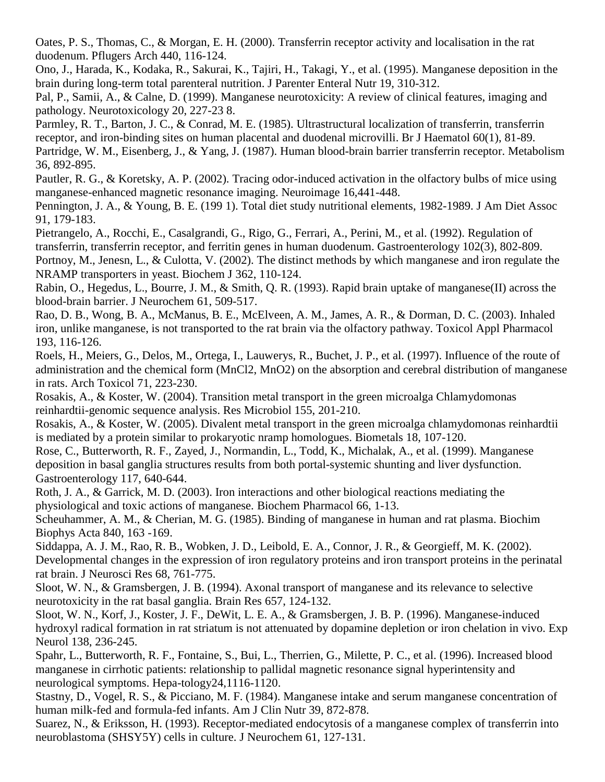Oates, P. S., Thomas, C., & Morgan, E. H. (2000). Transferrin receptor activity and localisation in the rat duodenum. Pflugers Arch 440, 116-124.

Ono, J., Harada, K., Kodaka, R., Sakurai, K., Tajiri, H., Takagi, Y., et al. (1995). Manganese deposition in the brain during long-term total parenteral nutrition. J Parenter Enteral Nutr 19, 310-312.

Pal, P., Samii, A., & Calne, D. (1999). Manganese neurotoxicity: A review of clinical features, imaging and pathology. Neurotoxicology 20, 227-23 8.

Parmley, R. T., Barton, J. C., & Conrad, M. E. (1985). Ultrastructural localization of transferrin, transferrin receptor, and iron-binding sites on human placental and duodenal microvilli. Br J Haematol 60(1), 81-89. Partridge, W. M., Eisenberg, J., & Yang, J. (1987). Human blood-brain barrier transferrin receptor. Metabolism 36, 892-895.

Pautler, R. G., & Koretsky, A. P. (2002). Tracing odor-induced activation in the olfactory bulbs of mice using manganese-enhanced magnetic resonance imaging. Neuroimage 16,441-448.

Pennington, J. A., & Young, B. E. (199 1). Total diet study nutritional elements, 1982-1989. J Am Diet Assoc 91, 179-183.

Pietrangelo, A., Rocchi, E., Casalgrandi, G., Rigo, G., Ferrari, A., Perini, M., et al. (1992). Regulation of transferrin, transferrin receptor, and ferritin genes in human duodenum. Gastroenterology 102(3), 802-809. Portnoy, M., Jenesn, L., & Culotta, V. (2002). The distinct methods by which manganese and iron regulate the NRAMP transporters in yeast. Biochem J 362, 110-124.

Rabin, O., Hegedus, L., Bourre, J. M., & Smith, Q. R. (1993). Rapid brain uptake of manganese(II) across the blood-brain barrier. J Neurochem 61, 509-517.

Rao, D. B., Wong, B. A., McManus, B. E., McElveen, A. M., James, A. R., & Dorman, D. C. (2003). Inhaled iron, unlike manganese, is not transported to the rat brain via the olfactory pathway. Toxicol Appl Pharmacol 193, 116-126.

Roels, H., Meiers, G., Delos, M., Ortega, I., Lauwerys, R., Buchet, J. P., et al. (1997). Influence of the route of administration and the chemical form (MnCl2, MnO2) on the absorption and cerebral distribution of manganese in rats. Arch Toxicol 71, 223-230.

Rosakis, A., & Koster, W. (2004). Transition metal transport in the green microalga Chlamydomonas reinhardtii-genomic sequence analysis. Res Microbiol 155, 201-210.

Rosakis, A., & Koster, W. (2005). Divalent metal transport in the green microalga chlamydomonas reinhardtii is mediated by a protein similar to prokaryotic nramp homologues. Biometals 18, 107-120.

Rose, C., Butterworth, R. F., Zayed, J., Normandin, L., Todd, K., Michalak, A., et al. (1999). Manganese deposition in basal ganglia structures results from both portal-systemic shunting and liver dysfunction. Gastroenterology 117, 640-644.

Roth, J. A., & Garrick, M. D. (2003). Iron interactions and other biological reactions mediating the physiological and toxic actions of manganese. Biochem Pharmacol 66, 1-13.

Scheuhammer, A. M., & Cherian, M. G. (1985). Binding of manganese in human and rat plasma. Biochim Biophys Acta 840, 163 -169.

Siddappa, A. J. M., Rao, R. B., Wobken, J. D., Leibold, E. A., Connor, J. R., & Georgieff, M. K. (2002). Developmental changes in the expression of iron regulatory proteins and iron transport proteins in the perinatal rat brain. J Neurosci Res 68, 761-775.

Sloot, W. N., & Gramsbergen, J. B. (1994). Axonal transport of manganese and its relevance to selective neurotoxicity in the rat basal ganglia. Brain Res 657, 124-132.

Sloot, W. N., Korf, J., Koster, J. F., DeWit, L. E. A., & Gramsbergen, J. B. P. (1996). Manganese-induced hydroxyl radical formation in rat striatum is not attenuated by dopamine depletion or iron chelation in vivo. Exp Neurol 138, 236-245.

Spahr, L., Butterworth, R. F., Fontaine, S., Bui, L., Therrien, G., Milette, P. C., et al. (1996). Increased blood manganese in cirrhotic patients: relationship to pallidal magnetic resonance signal hyperintensity and neurological symptoms. Hepa-tology24,1116-1120.

Stastny, D., Vogel, R. S., & Picciano, M. F. (1984). Manganese intake and serum manganese concentration of human milk-fed and formula-fed infants. Am J Clin Nutr 39, 872-878.

Suarez, N., & Eriksson, H. (1993). Receptor-mediated endocytosis of a manganese complex of transferrin into neuroblastoma (SHSY5Y) cells in culture. J Neurochem 61, 127-131.